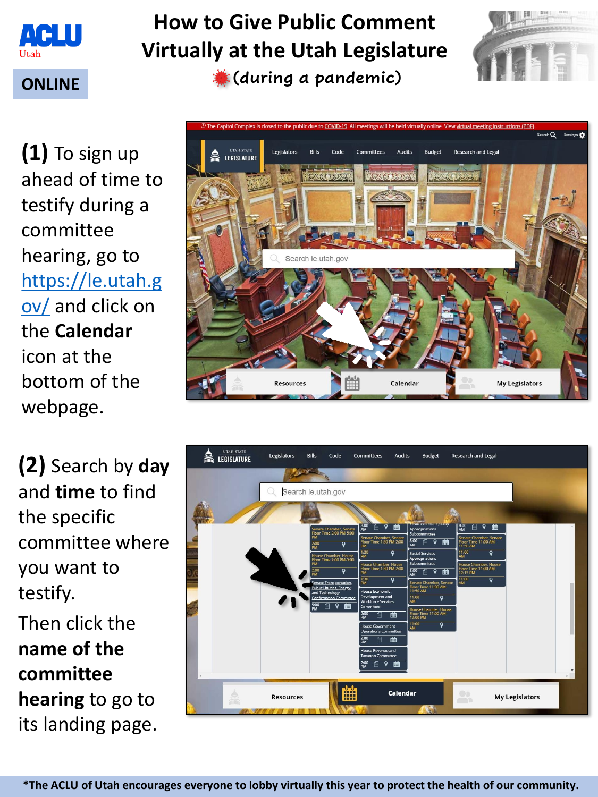

# **How to Give Public Comment Virtually at the Utah Legislature**

**ONLINE (during a pandemic)**



**(1)** To sign up ahead of time to testify during a committee hearing, go to [https://le.utah.g](https://le.utah.gov/) ov/ and click on the **Calendar** icon at the bottom of the webpage.

**(2)** Search by **day** and **time** to find the specific committee where you want to testify.

Then click the **name of the committee hearing** to go to its landing page.



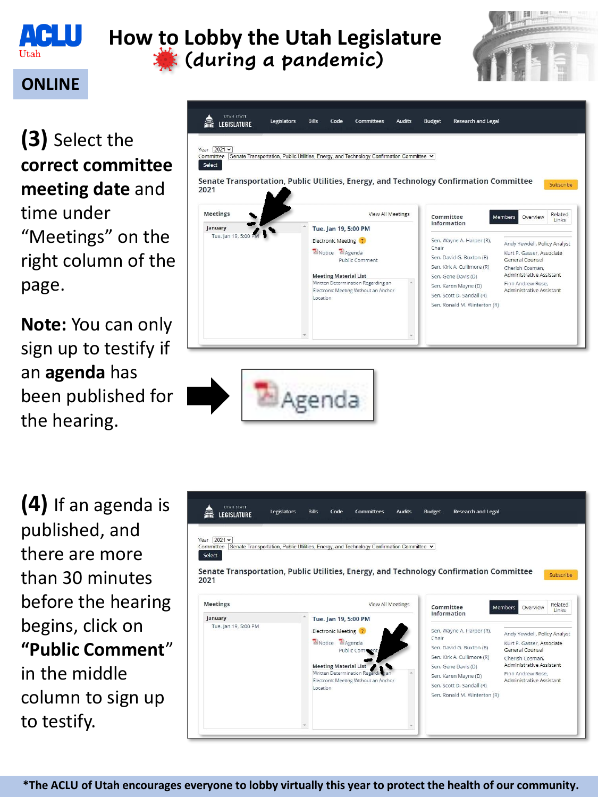

## **How to Lobby the Utah Legislature (during a pandemic)**



#### **ONLINE**

**(3)** Select the **correct committee meeting date** and time under "Meetings" on the right column of the page.

**Note:** You can only sign up to testify if an **agenda** has been published for the hearing.

Legislators **Bills** Code Committees **Audits Budget** Research and Legal LEGISLATURE Year 2021  $\times$ Senate Transportation, Public Utilities, Energy, and Technology Confirmation Committee v Select Senate Transportation, Public Utilities, Energy, and Technology Confirmation Committee Subscribe 2021 Meetings View All Meetings Related Committee Members Overview Links Information January Tue. Jan 19, 5:00 PM Tue, Jan 19, 5:00 PM Electronic Meeting ? Sen. Wayne A. Harper (R), Andy Yewdell, Policy Analyst Chair **E**Notice **E**Agenda Kurt P. Gasser, Associate Sen. David G. Buxton (R) General Counsel Public Comment Sen. Kirk A. Cullimore (R) Cherish Cosman, **Meeting Material List** Sen. Gene Davis (D) Administrative Assistant Written Determination Regarding an Finn Andrew Rose. Sen, Karen Mayne (D) Electronic Meeting Without an Anchor Administrative Assistant Sen. Scott D. Sandall (R) Location Sen, Ronald M. Winterton (R)

**(4)** If an agenda is published, and there are more than 30 minutes before the hearing begins, click on **"Public Comment**" in the middle column to sign up to testify.

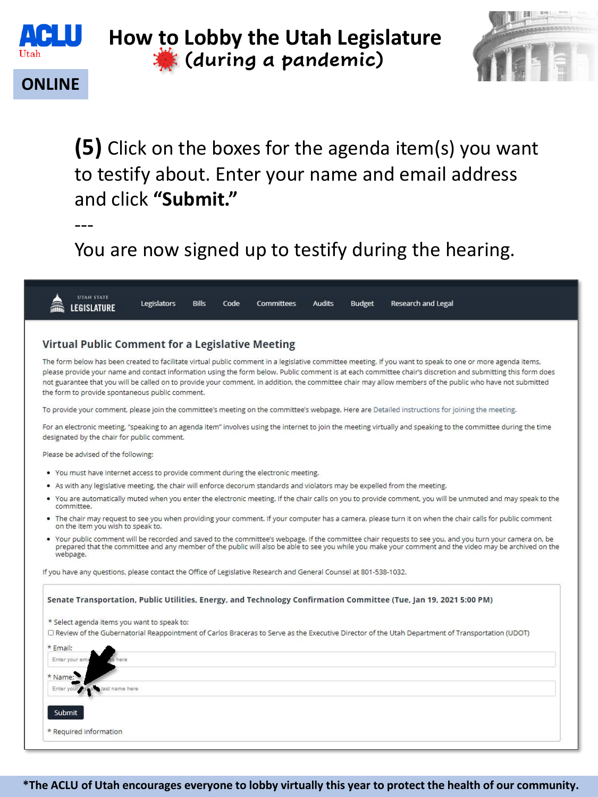

### **How to Lobby the Utah Legislature (during a pandemic)**



### **ONLINE**

**(5)** Click on the boxes for the agenda item(s) you want to testify about. Enter your name and email address and click **"Submit."**

---

You are now signed up to testify during the hearing.



The form below has been created to facilitate virtual public comment in a legislative committee meeting. If you want to speak to one or more agenda items. please provide your name and contact information using the form below. Public comment is at each committee chair's discretion and submitting this form does not guarantee that you will be called on to provide your comment. In addition, the committee chair may allow members of the public who have not submitted the form to provide spontaneous public comment.

To provide your comment, please join the committee's meeting on the committee's webpage. Here are Detailed instructions for joining the meeting.

For an electronic meeting, "speaking to an agenda item" involves using the internet to join the meeting virtually and speaking to the committee during the time designated by the chair for public comment.

Please be advised of the following:

- . You must have internet access to provide comment during the electronic meeting.
- As with any legislative meeting, the chair will enforce decorum standards and violators may be expelled from the meeting.  $\bullet$
- You are automatically muted when you enter the electronic meeting. If the chair calls on you to provide comment, you will be unmuted and may speak to the committee.
- The chair may request to see you when providing your comment. If your computer has a camera, please turn it on when the chair calls for public comment on the item you wish to speak to.
- Your public comment will be recorded and saved to the committee's webpage. If the committee chair requests to see you, and you turn your camera on, be prepared that the committee and any member of the public will also be able to see you while you make your comment and the video may be archived on the webpage.

If you have any questions, please contact the Office of Legislative Research and General Counsel at 801-538-1032.

| Senate Transportation, Public Utilities, Energy, and Technology Confirmation Committee (Tue, Jan 19, 2021 5:00 PM)                                |
|---------------------------------------------------------------------------------------------------------------------------------------------------|
| * Select agenda items you want to speak to:                                                                                                       |
| O Review of the Gubernatorial Reappointment of Carlos Braceras to Serve as the Executive Director of the Utah Department of Transportation (UDOT) |
| * Email:                                                                                                                                          |
| Enter your ema<br>here:                                                                                                                           |
| * Name:                                                                                                                                           |
| last name here<br>Enter your first and                                                                                                            |
|                                                                                                                                                   |
| Submit                                                                                                                                            |
| * Required information                                                                                                                            |